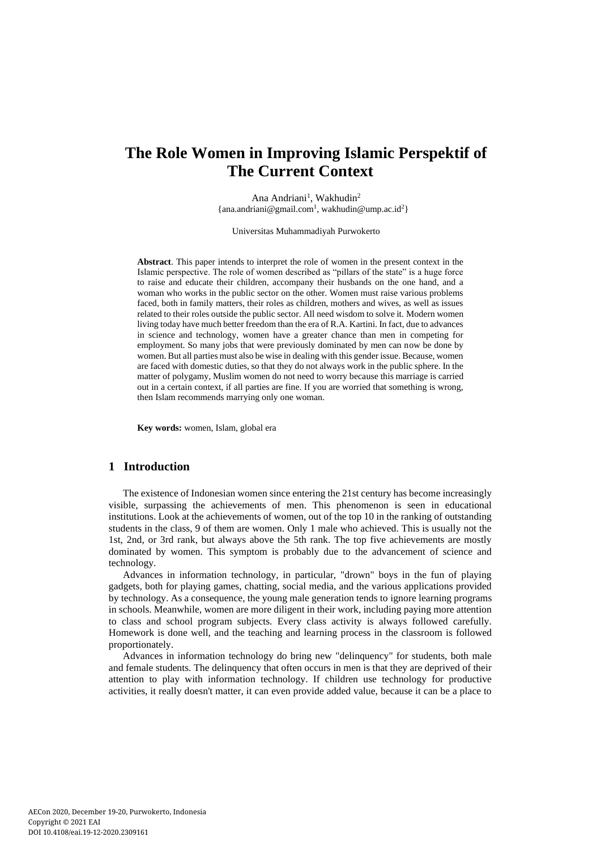# **The Role Women in Improving Islamic Perspektif of The Current Context**

Ana Andriani<sup>1</sup>, Wakhudin<sup>2</sup>  $\{\text{ana}.\text{andriani}\ \textcircled{g} \text{mail.com}^1, \text{wakhudin}\ \textcircled{e} \text{ump}.\text{ac.id}^2\}$ 

Universitas Muhammadiyah Purwokerto

**Abstract**. This paper intends to interpret the role of women in the present context in the Islamic perspective. The role of women described as "pillars of the state" is a huge force to raise and educate their children, accompany their husbands on the one hand, and a woman who works in the public sector on the other. Women must raise various problems faced, both in family matters, their roles as children, mothers and wives, as well as issues related to their roles outside the public sector. All need wisdom to solve it. Modern women living today have much better freedom than the era of R.A. Kartini. In fact, due to advances in science and technology, women have a greater chance than men in competing for employment. So many jobs that were previously dominated by men can now be done by women. But all parties must also be wise in dealing with this gender issue. Because, women are faced with domestic duties, so that they do not always work in the public sphere. In the matter of polygamy, Muslim women do not need to worry because this marriage is carried out in a certain context, if all parties are fine. If you are worried that something is wrong, then Islam recommends marrying only one woman.

**Key words:** women, Islam, global era

## **1 Introduction**

The existence of Indonesian women since entering the 21st century has become increasingly visible, surpassing the achievements of men. This phenomenon is seen in educational institutions. Look at the achievements of women, out of the top 10 in the ranking of outstanding students in the class, 9 of them are women. Only 1 male who achieved. This is usually not the 1st, 2nd, or 3rd rank, but always above the 5th rank. The top five achievements are mostly dominated by women. This symptom is probably due to the advancement of science and technology.

Advances in information technology, in particular, "drown" boys in the fun of playing gadgets, both for playing games, chatting, social media, and the various applications provided by technology. As a consequence, the young male generation tends to ignore learning programs in schools. Meanwhile, women are more diligent in their work, including paying more attention to class and school program subjects. Every class activity is always followed carefully. Homework is done well, and the teaching and learning process in the classroom is followed proportionately.

Advances in information technology do bring new "delinquency" for students, both male and female students. The delinquency that often occurs in men is that they are deprived of their attention to play with information technology. If children use technology for productive activities, it really doesn't matter, it can even provide added value, because it can be a place to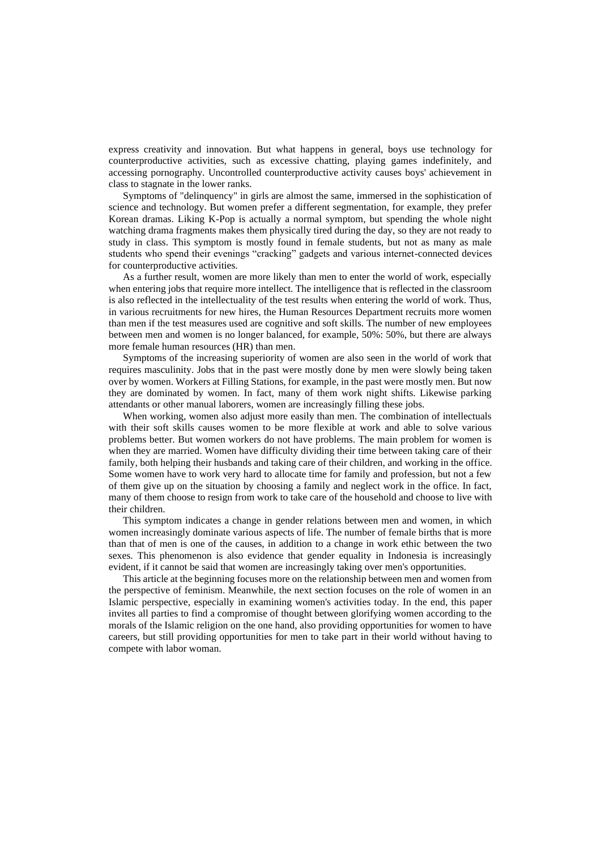express creativity and innovation. But what happens in general, boys use technology for counterproductive activities, such as excessive chatting, playing games indefinitely, and accessing pornography. Uncontrolled counterproductive activity causes boys' achievement in class to stagnate in the lower ranks.

Symptoms of "delinquency" in girls are almost the same, immersed in the sophistication of science and technology. But women prefer a different segmentation, for example, they prefer Korean dramas. Liking K-Pop is actually a normal symptom, but spending the whole night watching drama fragments makes them physically tired during the day, so they are not ready to study in class. This symptom is mostly found in female students, but not as many as male students who spend their evenings "cracking" gadgets and various internet-connected devices for counterproductive activities.

As a further result, women are more likely than men to enter the world of work, especially when entering jobs that require more intellect. The intelligence that is reflected in the classroom is also reflected in the intellectuality of the test results when entering the world of work. Thus, in various recruitments for new hires, the Human Resources Department recruits more women than men if the test measures used are cognitive and soft skills. The number of new employees between men and women is no longer balanced, for example, 50%: 50%, but there are always more female human resources (HR) than men.

Symptoms of the increasing superiority of women are also seen in the world of work that requires masculinity. Jobs that in the past were mostly done by men were slowly being taken over by women. Workers at Filling Stations, for example, in the past were mostly men. But now they are dominated by women. In fact, many of them work night shifts. Likewise parking attendants or other manual laborers, women are increasingly filling these jobs.

When working, women also adjust more easily than men. The combination of intellectuals with their soft skills causes women to be more flexible at work and able to solve various problems better. But women workers do not have problems. The main problem for women is when they are married. Women have difficulty dividing their time between taking care of their family, both helping their husbands and taking care of their children, and working in the office. Some women have to work very hard to allocate time for family and profession, but not a few of them give up on the situation by choosing a family and neglect work in the office. In fact, many of them choose to resign from work to take care of the household and choose to live with their children.

This symptom indicates a change in gender relations between men and women, in which women increasingly dominate various aspects of life. The number of female births that is more than that of men is one of the causes, in addition to a change in work ethic between the two sexes. This phenomenon is also evidence that gender equality in Indonesia is increasingly evident, if it cannot be said that women are increasingly taking over men's opportunities.

This article at the beginning focuses more on the relationship between men and women from the perspective of feminism. Meanwhile, the next section focuses on the role of women in an Islamic perspective, especially in examining women's activities today. In the end, this paper invites all parties to find a compromise of thought between glorifying women according to the morals of the Islamic religion on the one hand, also providing opportunities for women to have careers, but still providing opportunities for men to take part in their world without having to compete with labor woman.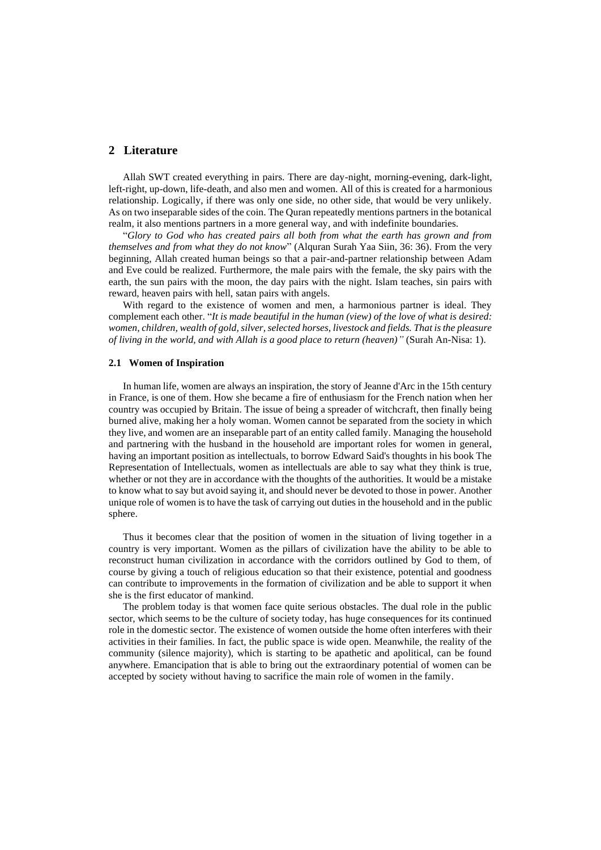## **2 Literature**

Allah SWT created everything in pairs. There are day-night, morning-evening, dark-light, left-right, up-down, life-death, and also men and women. All of this is created for a harmonious relationship. Logically, if there was only one side, no other side, that would be very unlikely. As on two inseparable sides of the coin. The Quran repeatedly mentions partners in the botanical realm, it also mentions partners in a more general way, and with indefinite boundaries.

"*Glory to God who has created pairs all both from what the earth has grown and from themselves and from what they do not know*" (Alquran Surah Yaa Siin, 36: 36). From the very beginning, Allah created human beings so that a pair-and-partner relationship between Adam and Eve could be realized. Furthermore, the male pairs with the female, the sky pairs with the earth, the sun pairs with the moon, the day pairs with the night. Islam teaches, sin pairs with reward, heaven pairs with hell, satan pairs with angels.

With regard to the existence of women and men, a harmonious partner is ideal. They complement each other. "*It is made beautiful in the human (view) of the love of what is desired: women, children, wealth of gold, silver, selected horses, livestock and fields. That is the pleasure of living in the world, and with Allah is a good place to return (heaven)"* (Surah An-Nisa: 1).

#### **2.1 Women of Inspiration**

In human life, women are always an inspiration, the story of Jeanne d'Arc in the 15th century in France, is one of them. How she became a fire of enthusiasm for the French nation when her country was occupied by Britain. The issue of being a spreader of witchcraft, then finally being burned alive, making her a holy woman. Women cannot be separated from the society in which they live, and women are an inseparable part of an entity called family. Managing the household and partnering with the husband in the household are important roles for women in general, having an important position as intellectuals, to borrow Edward Said's thoughts in his book The Representation of Intellectuals, women as intellectuals are able to say what they think is true, whether or not they are in accordance with the thoughts of the authorities. It would be a mistake to know what to say but avoid saying it, and should never be devoted to those in power. Another unique role of women is to have the task of carrying out duties in the household and in the public sphere.

Thus it becomes clear that the position of women in the situation of living together in a country is very important. Women as the pillars of civilization have the ability to be able to reconstruct human civilization in accordance with the corridors outlined by God to them, of course by giving a touch of religious education so that their existence, potential and goodness can contribute to improvements in the formation of civilization and be able to support it when she is the first educator of mankind.

The problem today is that women face quite serious obstacles. The dual role in the public sector, which seems to be the culture of society today, has huge consequences for its continued role in the domestic sector. The existence of women outside the home often interferes with their activities in their families. In fact, the public space is wide open. Meanwhile, the reality of the community (silence majority), which is starting to be apathetic and apolitical, can be found anywhere. Emancipation that is able to bring out the extraordinary potential of women can be accepted by society without having to sacrifice the main role of women in the family.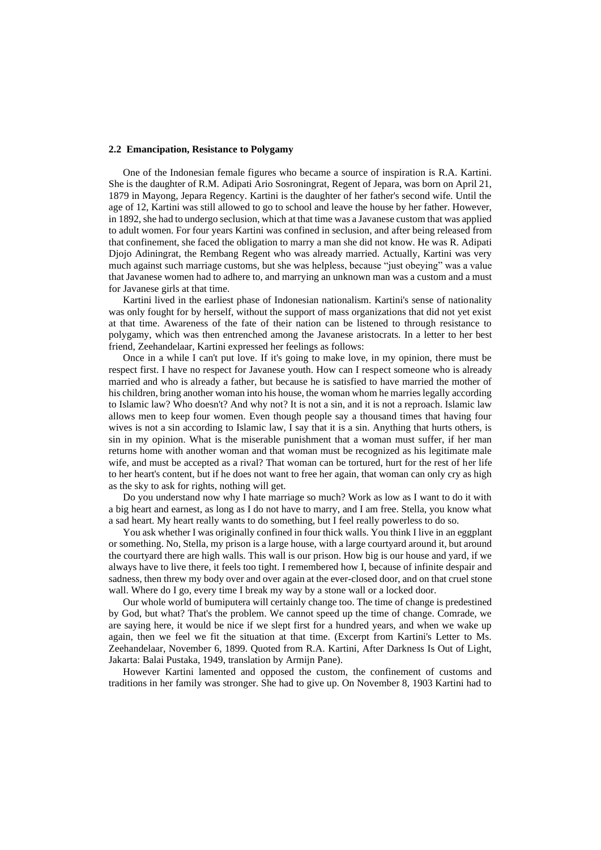#### **2.2 Emancipation, Resistance to Polygamy**

One of the Indonesian female figures who became a source of inspiration is R.A. Kartini. She is the daughter of R.M. Adipati Ario Sosroningrat, Regent of Jepara, was born on April 21, 1879 in Mayong, Jepara Regency. Kartini is the daughter of her father's second wife. Until the age of 12, Kartini was still allowed to go to school and leave the house by her father. However, in 1892, she had to undergo seclusion, which at that time was a Javanese custom that was applied to adult women. For four years Kartini was confined in seclusion, and after being released from that confinement, she faced the obligation to marry a man she did not know. He was R. Adipati Djojo Adiningrat, the Rembang Regent who was already married. Actually, Kartini was very much against such marriage customs, but she was helpless, because "just obeying" was a value that Javanese women had to adhere to, and marrying an unknown man was a custom and a must for Javanese girls at that time.

Kartini lived in the earliest phase of Indonesian nationalism. Kartini's sense of nationality was only fought for by herself, without the support of mass organizations that did not yet exist at that time. Awareness of the fate of their nation can be listened to through resistance to polygamy, which was then entrenched among the Javanese aristocrats. In a letter to her best friend, Zeehandelaar, Kartini expressed her feelings as follows:

Once in a while I can't put love. If it's going to make love, in my opinion, there must be respect first. I have no respect for Javanese youth. How can I respect someone who is already married and who is already a father, but because he is satisfied to have married the mother of his children, bring another woman into his house, the woman whom he marries legally according to Islamic law? Who doesn't? And why not? It is not a sin, and it is not a reproach. Islamic law allows men to keep four women. Even though people say a thousand times that having four wives is not a sin according to Islamic law, I say that it is a sin. Anything that hurts others, is sin in my opinion. What is the miserable punishment that a woman must suffer, if her man returns home with another woman and that woman must be recognized as his legitimate male wife, and must be accepted as a rival? That woman can be tortured, hurt for the rest of her life to her heart's content, but if he does not want to free her again, that woman can only cry as high as the sky to ask for rights, nothing will get.

Do you understand now why I hate marriage so much? Work as low as I want to do it with a big heart and earnest, as long as I do not have to marry, and I am free. Stella, you know what a sad heart. My heart really wants to do something, but I feel really powerless to do so.

You ask whether I was originally confined in four thick walls. You think I live in an eggplant or something. No, Stella, my prison is a large house, with a large courtyard around it, but around the courtyard there are high walls. This wall is our prison. How big is our house and yard, if we always have to live there, it feels too tight. I remembered how I, because of infinite despair and sadness, then threw my body over and over again at the ever-closed door, and on that cruel stone wall. Where do I go, every time I break my way by a stone wall or a locked door.

Our whole world of bumiputera will certainly change too. The time of change is predestined by God, but what? That's the problem. We cannot speed up the time of change. Comrade, we are saying here, it would be nice if we slept first for a hundred years, and when we wake up again, then we feel we fit the situation at that time. (Excerpt from Kartini's Letter to Ms. Zeehandelaar, November 6, 1899. Quoted from R.A. Kartini, After Darkness Is Out of Light, Jakarta: Balai Pustaka, 1949, translation by Armijn Pane).

However Kartini lamented and opposed the custom, the confinement of customs and traditions in her family was stronger. She had to give up. On November 8, 1903 Kartini had to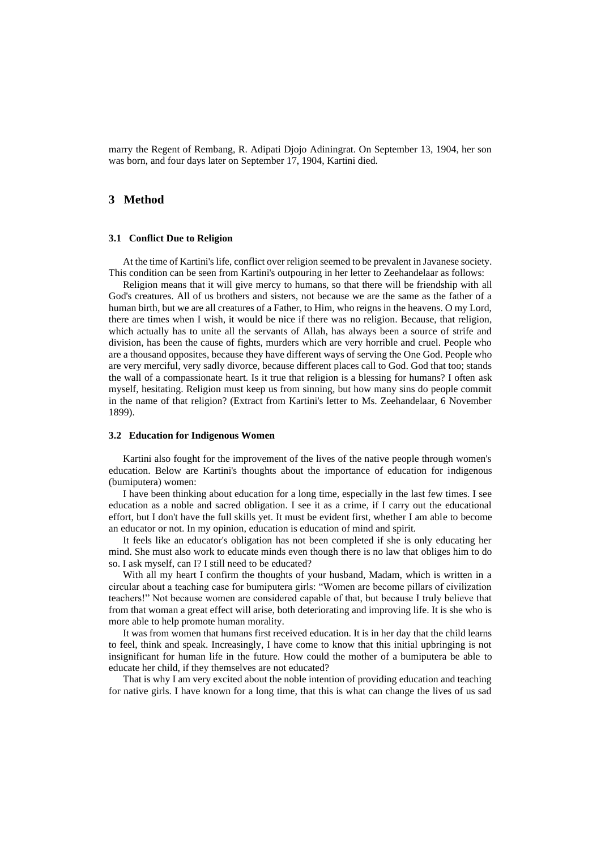marry the Regent of Rembang, R. Adipati Djojo Adiningrat. On September 13, 1904, her son was born, and four days later on September 17, 1904, Kartini died.

## **3 Method**

#### **3.1 Conflict Due to Religion**

At the time of Kartini's life, conflict over religion seemed to be prevalent in Javanese society. This condition can be seen from Kartini's outpouring in her letter to Zeehandelaar as follows:

Religion means that it will give mercy to humans, so that there will be friendship with all God's creatures. All of us brothers and sisters, not because we are the same as the father of a human birth, but we are all creatures of a Father, to Him, who reigns in the heavens. O my Lord, there are times when I wish, it would be nice if there was no religion. Because, that religion, which actually has to unite all the servants of Allah, has always been a source of strife and division, has been the cause of fights, murders which are very horrible and cruel. People who are a thousand opposites, because they have different ways of serving the One God. People who are very merciful, very sadly divorce, because different places call to God. God that too; stands the wall of a compassionate heart. Is it true that religion is a blessing for humans? I often ask myself, hesitating. Religion must keep us from sinning, but how many sins do people commit in the name of that religion? (Extract from Kartini's letter to Ms. Zeehandelaar, 6 November 1899).

#### **3.2 Education for Indigenous Women**

Kartini also fought for the improvement of the lives of the native people through women's education. Below are Kartini's thoughts about the importance of education for indigenous (bumiputera) women:

I have been thinking about education for a long time, especially in the last few times. I see education as a noble and sacred obligation. I see it as a crime, if I carry out the educational effort, but I don't have the full skills yet. It must be evident first, whether I am able to become an educator or not. In my opinion, education is education of mind and spirit.

It feels like an educator's obligation has not been completed if she is only educating her mind. She must also work to educate minds even though there is no law that obliges him to do so. I ask myself, can I? I still need to be educated?

With all my heart I confirm the thoughts of your husband, Madam, which is written in a circular about a teaching case for bumiputera girls: "Women are become pillars of civilization teachers!" Not because women are considered capable of that, but because I truly believe that from that woman a great effect will arise, both deteriorating and improving life. It is she who is more able to help promote human morality.

It was from women that humans first received education. It is in her day that the child learns to feel, think and speak. Increasingly, I have come to know that this initial upbringing is not insignificant for human life in the future. How could the mother of a bumiputera be able to educate her child, if they themselves are not educated?

That is why I am very excited about the noble intention of providing education and teaching for native girls. I have known for a long time, that this is what can change the lives of us sad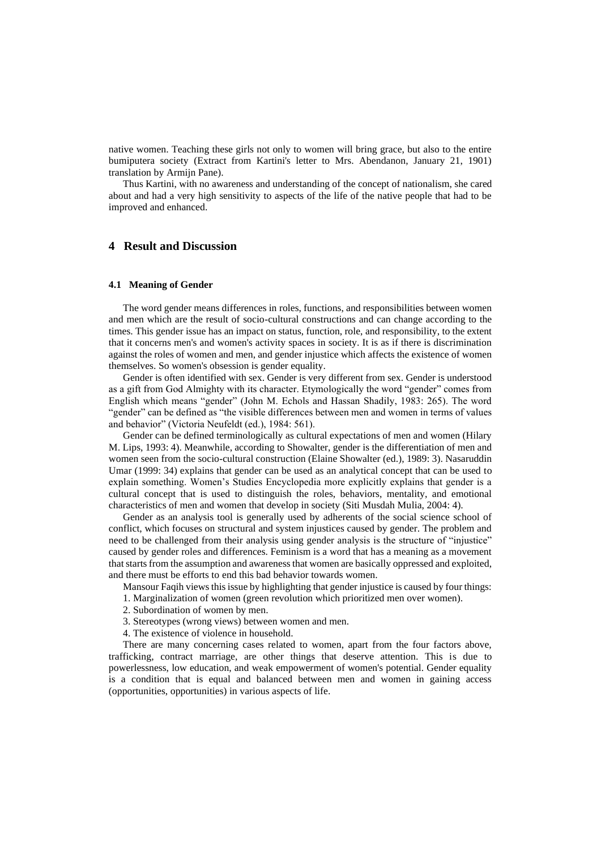native women. Teaching these girls not only to women will bring grace, but also to the entire bumiputera society (Extract from Kartini's letter to Mrs. Abendanon, January 21, 1901) translation by Armijn Pane).

Thus Kartini, with no awareness and understanding of the concept of nationalism, she cared about and had a very high sensitivity to aspects of the life of the native people that had to be improved and enhanced.

## **4 Result and Discussion**

#### **4.1 Meaning of Gender**

The word gender means differences in roles, functions, and responsibilities between women and men which are the result of socio-cultural constructions and can change according to the times. This gender issue has an impact on status, function, role, and responsibility, to the extent that it concerns men's and women's activity spaces in society. It is as if there is discrimination against the roles of women and men, and gender injustice which affects the existence of women themselves. So women's obsession is gender equality.

Gender is often identified with sex. Gender is very different from sex. Gender is understood as a gift from God Almighty with its character. Etymologically the word "gender" comes from English which means "gender" (John M. Echols and Hassan Shadily, 1983: 265). The word "gender" can be defined as "the visible differences between men and women in terms of values and behavior" (Victoria Neufeldt (ed.), 1984: 561).

Gender can be defined terminologically as cultural expectations of men and women (Hilary M. Lips, 1993: 4). Meanwhile, according to Showalter, gender is the differentiation of men and women seen from the socio-cultural construction (Elaine Showalter (ed.), 1989: 3). Nasaruddin Umar (1999: 34) explains that gender can be used as an analytical concept that can be used to explain something. Women's Studies Encyclopedia more explicitly explains that gender is a cultural concept that is used to distinguish the roles, behaviors, mentality, and emotional characteristics of men and women that develop in society (Siti Musdah Mulia, 2004: 4).

Gender as an analysis tool is generally used by adherents of the social science school of conflict, which focuses on structural and system injustices caused by gender. The problem and need to be challenged from their analysis using gender analysis is the structure of "injustice" caused by gender roles and differences. Feminism is a word that has a meaning as a movement that starts from the assumption and awareness that women are basically oppressed and exploited, and there must be efforts to end this bad behavior towards women.

Mansour Faqih views this issue by highlighting that gender injustice is caused by four things:

1. Marginalization of women (green revolution which prioritized men over women).

- 2. Subordination of women by men.
- 3. Stereotypes (wrong views) between women and men.
- 4. The existence of violence in household.

There are many concerning cases related to women, apart from the four factors above, trafficking, contract marriage, are other things that deserve attention. This is due to powerlessness, low education, and weak empowerment of women's potential. Gender equality is a condition that is equal and balanced between men and women in gaining access (opportunities, opportunities) in various aspects of life.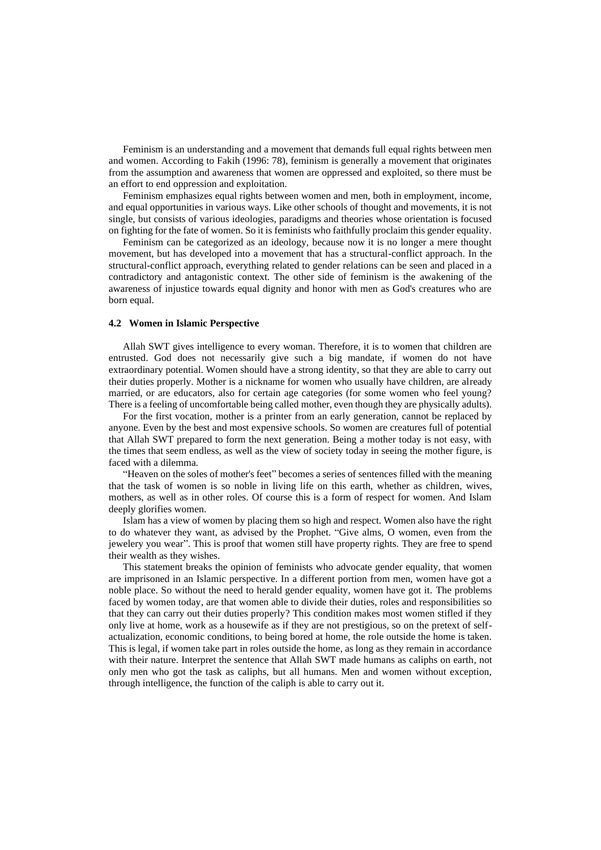Feminism is an understanding and a movement that demands full equal rights between men and women. According to Fakih (1996: 78), feminism is generally a movement that originates from the assumption and awareness that women are oppressed and exploited, so there must be an effort to end oppression and exploitation.

Feminism emphasizes equal rights between women and men, both in employment, income, and equal opportunities in various ways. Like other schools of thought and movements, it is not single, but consists of various ideologies, paradigms and theories whose orientation is focused on fighting for the fate of women. So it is feminists who faithfully proclaim this gender equality.

Feminism can be categorized as an ideology, because now it is no longer a mere thought movement, but has developed into a movement that has a structural-conflict approach. In the structural-conflict approach, everything related to gender relations can be seen and placed in a contradictory and antagonistic context. The other side of feminism is the awakening of the awareness of injustice towards equal dignity and honor with men as God's creatures who are born equal.

#### **4.2 Women in Islamic Perspective**

Allah SWT gives intelligence to every woman. Therefore, it is to women that children are entrusted. God does not necessarily give such a big mandate, if women do not have extraordinary potential. Women should have a strong identity, so that they are able to carry out their duties properly. Mother is a nickname for women who usually have children, are already married, or are educators, also for certain age categories (for some women who feel young? There is a feeling of uncomfortable being called mother, even though they are physically adults).

For the first vocation, mother is a printer from an early generation, cannot be replaced by anyone. Even by the best and most expensive schools. So women are creatures full of potential that Allah SWT prepared to form the next generation. Being a mother today is not easy, with the times that seem endless, as well as the view of society today in seeing the mother figure, is faced with a dilemma.

"Heaven on the soles of mother's feet" becomes a series of sentences filled with the meaning that the task of women is so noble in living life on this earth, whether as children, wives, mothers, as well as in other roles. Of course this is a form of respect for women. And Islam deeply glorifies women.

Islam has a view of women by placing them so high and respect. Women also have the right to do whatever they want, as advised by the Prophet. "Give alms, O women, even from the jewelery you wear". This is proof that women still have property rights. They are free to spend their wealth as they wishes.

This statement breaks the opinion of feminists who advocate gender equality, that women are imprisoned in an Islamic perspective. In a different portion from men, women have got a noble place. So without the need to herald gender equality, women have got it. The problems faced by women today, are that women able to divide their duties, roles and responsibilities so that they can carry out their duties properly? This condition makes most women stifled if they only live at home, work as a housewife as if they are not prestigious, so on the pretext of selfactualization, economic conditions, to being bored at home, the role outside the home is taken. This is legal, if women take part in roles outside the home, as long as they remain in accordance with their nature. Interpret the sentence that Allah SWT made humans as caliphs on earth, not only men who got the task as caliphs, but all humans. Men and women without exception, through intelligence, the function of the caliph is able to carry out it.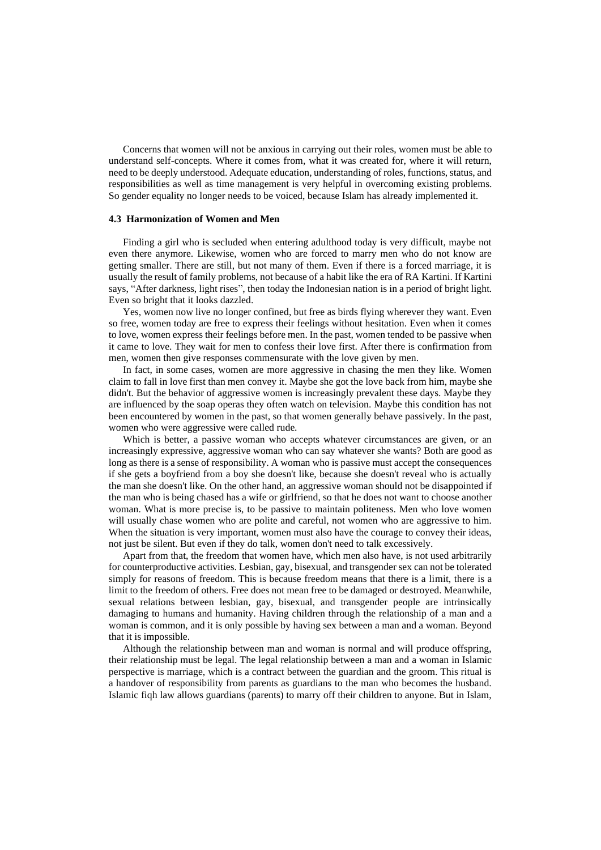Concerns that women will not be anxious in carrying out their roles, women must be able to understand self-concepts. Where it comes from, what it was created for, where it will return, need to be deeply understood. Adequate education, understanding of roles, functions, status, and responsibilities as well as time management is very helpful in overcoming existing problems. So gender equality no longer needs to be voiced, because Islam has already implemented it.

#### **4.3 Harmonization of Women and Men**

Finding a girl who is secluded when entering adulthood today is very difficult, maybe not even there anymore. Likewise, women who are forced to marry men who do not know are getting smaller. There are still, but not many of them. Even if there is a forced marriage, it is usually the result of family problems, not because of a habit like the era of RA Kartini. If Kartini says, "After darkness, light rises", then today the Indonesian nation is in a period of bright light. Even so bright that it looks dazzled.

Yes, women now live no longer confined, but free as birds flying wherever they want. Even so free, women today are free to express their feelings without hesitation. Even when it comes to love, women express their feelings before men. In the past, women tended to be passive when it came to love. They wait for men to confess their love first. After there is confirmation from men, women then give responses commensurate with the love given by men.

In fact, in some cases, women are more aggressive in chasing the men they like. Women claim to fall in love first than men convey it. Maybe she got the love back from him, maybe she didn't. But the behavior of aggressive women is increasingly prevalent these days. Maybe they are influenced by the soap operas they often watch on television. Maybe this condition has not been encountered by women in the past, so that women generally behave passively. In the past, women who were aggressive were called rude.

Which is better, a passive woman who accepts whatever circumstances are given, or an increasingly expressive, aggressive woman who can say whatever she wants? Both are good as long as there is a sense of responsibility. A woman who is passive must accept the consequences if she gets a boyfriend from a boy she doesn't like, because she doesn't reveal who is actually the man she doesn't like. On the other hand, an aggressive woman should not be disappointed if the man who is being chased has a wife or girlfriend, so that he does not want to choose another woman. What is more precise is, to be passive to maintain politeness. Men who love women will usually chase women who are polite and careful, not women who are aggressive to him. When the situation is very important, women must also have the courage to convey their ideas, not just be silent. But even if they do talk, women don't need to talk excessively.

Apart from that, the freedom that women have, which men also have, is not used arbitrarily for counterproductive activities. Lesbian, gay, bisexual, and transgender sex can not be tolerated simply for reasons of freedom. This is because freedom means that there is a limit, there is a limit to the freedom of others. Free does not mean free to be damaged or destroyed. Meanwhile, sexual relations between lesbian, gay, bisexual, and transgender people are intrinsically damaging to humans and humanity. Having children through the relationship of a man and a woman is common, and it is only possible by having sex between a man and a woman. Beyond that it is impossible.

Although the relationship between man and woman is normal and will produce offspring, their relationship must be legal. The legal relationship between a man and a woman in Islamic perspective is marriage, which is a contract between the guardian and the groom. This ritual is a handover of responsibility from parents as guardians to the man who becomes the husband. Islamic fiqh law allows guardians (parents) to marry off their children to anyone. But in Islam,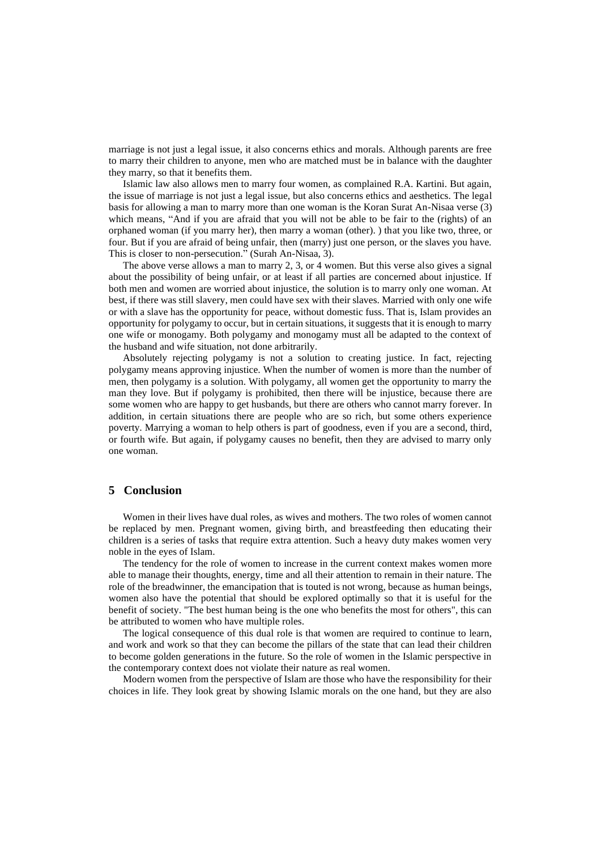marriage is not just a legal issue, it also concerns ethics and morals. Although parents are free to marry their children to anyone, men who are matched must be in balance with the daughter they marry, so that it benefits them.

Islamic law also allows men to marry four women, as complained R.A. Kartini. But again, the issue of marriage is not just a legal issue, but also concerns ethics and aesthetics. The legal basis for allowing a man to marry more than one woman is the Koran Surat An-Nisaa verse (3) which means, "And if you are afraid that you will not be able to be fair to the (rights) of an orphaned woman (if you marry her), then marry a woman (other). ) that you like two, three, or four. But if you are afraid of being unfair, then (marry) just one person, or the slaves you have. This is closer to non-persecution." (Surah An-Nisaa, 3).

The above verse allows a man to marry 2, 3, or 4 women. But this verse also gives a signal about the possibility of being unfair, or at least if all parties are concerned about injustice. If both men and women are worried about injustice, the solution is to marry only one woman. At best, if there was still slavery, men could have sex with their slaves. Married with only one wife or with a slave has the opportunity for peace, without domestic fuss. That is, Islam provides an opportunity for polygamy to occur, but in certain situations, it suggests that it is enough to marry one wife or monogamy. Both polygamy and monogamy must all be adapted to the context of the husband and wife situation, not done arbitrarily.

Absolutely rejecting polygamy is not a solution to creating justice. In fact, rejecting polygamy means approving injustice. When the number of women is more than the number of men, then polygamy is a solution. With polygamy, all women get the opportunity to marry the man they love. But if polygamy is prohibited, then there will be injustice, because there are some women who are happy to get husbands, but there are others who cannot marry forever. In addition, in certain situations there are people who are so rich, but some others experience poverty. Marrying a woman to help others is part of goodness, even if you are a second, third, or fourth wife. But again, if polygamy causes no benefit, then they are advised to marry only one woman.

## **5 Conclusion**

Women in their lives have dual roles, as wives and mothers. The two roles of women cannot be replaced by men. Pregnant women, giving birth, and breastfeeding then educating their children is a series of tasks that require extra attention. Such a heavy duty makes women very noble in the eyes of Islam.

The tendency for the role of women to increase in the current context makes women more able to manage their thoughts, energy, time and all their attention to remain in their nature. The role of the breadwinner, the emancipation that is touted is not wrong, because as human beings, women also have the potential that should be explored optimally so that it is useful for the benefit of society. "The best human being is the one who benefits the most for others", this can be attributed to women who have multiple roles.

The logical consequence of this dual role is that women are required to continue to learn, and work and work so that they can become the pillars of the state that can lead their children to become golden generations in the future. So the role of women in the Islamic perspective in the contemporary context does not violate their nature as real women.

Modern women from the perspective of Islam are those who have the responsibility for their choices in life. They look great by showing Islamic morals on the one hand, but they are also